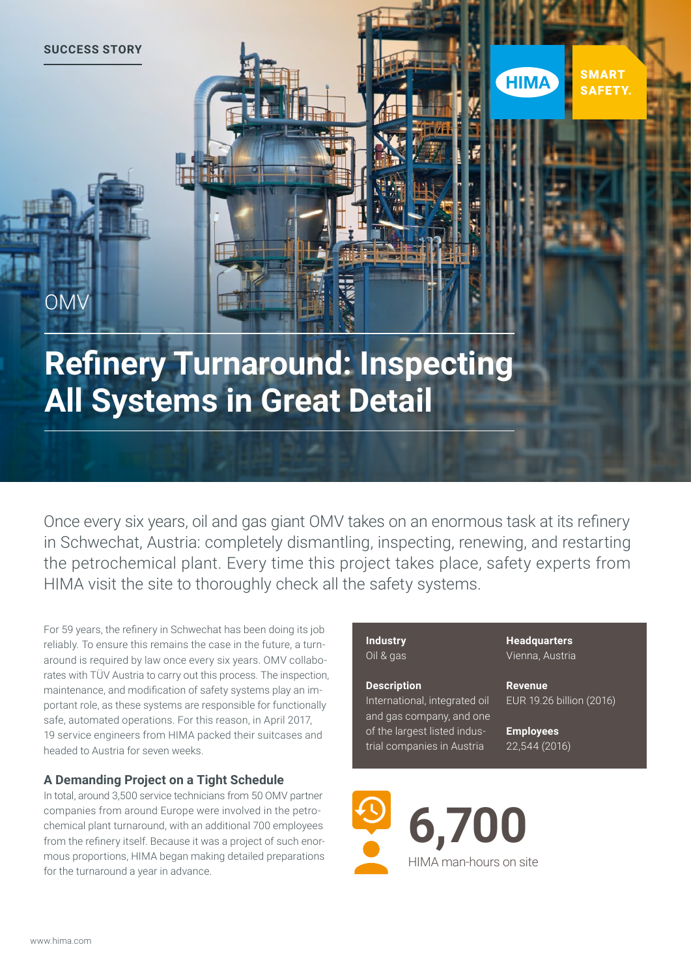**SUCCESS STORY**

OMV

## **Refinery Turnaround: Inspecting All Systems in Great Detail**

Once every six years, oil and gas giant OMV takes on an enormous task at its refinery in Schwechat, Austria: completely dismantling, inspecting, renewing, and restarting the petrochemical plant. Every time this project takes place, safety experts from HIMA visit the site to thoroughly check all the safety systems.

For 59 years, the refinery in Schwechat has been doing its job reliably. To ensure this remains the case in the future, a turnaround is required by law once every six years. OMV collaborates with TÜV Austria to carry out this process. The inspection, maintenance, and modification of safety systems play an important role, as these systems are responsible for functionally safe, automated operations. For this reason, in April 2017, 19 service engineers from HIMA packed their suitcases and headed to Austria for seven weeks.

### **A Demanding Project on a Tight Schedule**

In total, around 3,500 service technicians from 50 OMV partner companies from around Europe were involved in the petrochemical plant turnaround, with an additional 700 employees from the refinery itself. Because it was a project of such enormous proportions, HIMA began making detailed preparations for the turnaround a year in advance.

#### **Industry** Oil & gas

### **Description**

International, integrated oil and gas company, and one of the largest listed industrial companies in Austria

**Headquarters** Vienna, Austria

**Revenue** EUR 19.26 billion (2016)

**SMART** 

**SAFETY.** 

**HIMA** 

**Employees** 22,544 (2016)